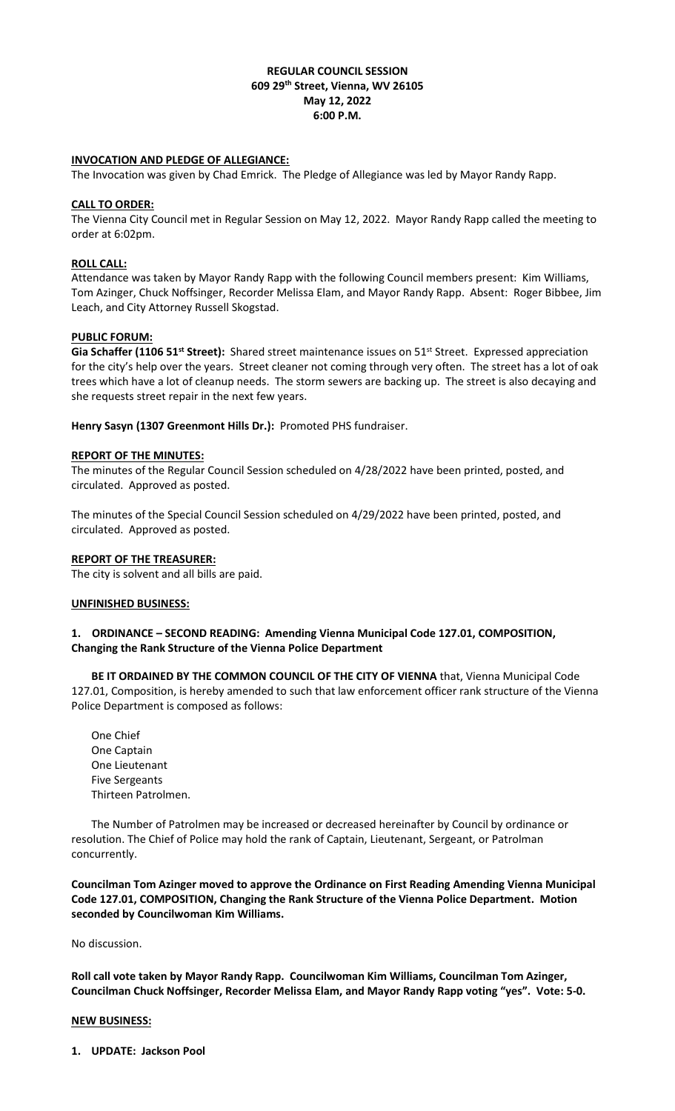## **REGULAR COUNCIL SESSION 609 29th Street, Vienna, WV 26105 May 12, 2022 6:00 P.M.**

## **INVOCATION AND PLEDGE OF ALLEGIANCE:**

The Invocation was given by Chad Emrick. The Pledge of Allegiance was led by Mayor Randy Rapp.

#### **CALL TO ORDER:**

The Vienna City Council met in Regular Session on May 12, 2022. Mayor Randy Rapp called the meeting to order at 6:02pm.

## **ROLL CALL:**

Attendance was taken by Mayor Randy Rapp with the following Council members present: Kim Williams, Tom Azinger, Chuck Noffsinger, Recorder Melissa Elam, and Mayor Randy Rapp. Absent: Roger Bibbee, Jim Leach, and City Attorney Russell Skogstad.

### **PUBLIC FORUM:**

Gia Schaffer (1106 51<sup>st</sup> Street): Shared street maintenance issues on 51<sup>st</sup> Street. Expressed appreciation for the city's help over the years. Street cleaner not coming through very often. The street has a lot of oak trees which have a lot of cleanup needs. The storm sewers are backing up. The street is also decaying and she requests street repair in the next few years.

**Henry Sasyn (1307 Greenmont Hills Dr.):** Promoted PHS fundraiser.

### **REPORT OF THE MINUTES:**

The minutes of the Regular Council Session scheduled on 4/28/2022 have been printed, posted, and circulated. Approved as posted.

The minutes of the Special Council Session scheduled on 4/29/2022 have been printed, posted, and circulated. Approved as posted.

## **REPORT OF THE TREASURER:**

The city is solvent and all bills are paid.

### **UNFINISHED BUSINESS:**

## **1. ORDINANCE – SECOND READING: Amending Vienna Municipal Code 127.01, COMPOSITION, Changing the Rank Structure of the Vienna Police Department**

**BE IT ORDAINED BY THE COMMON COUNCIL OF THE CITY OF VIENNA** that, Vienna Municipal Code 127.01, Composition, is hereby amended to such that law enforcement officer rank structure of the Vienna Police Department is composed as follows:

One Chief One Captain One Lieutenant Five Sergeants Thirteen Patrolmen.

The Number of Patrolmen may be increased or decreased hereinafter by Council by ordinance or resolution. The Chief of Police may hold the rank of Captain, Lieutenant, Sergeant, or Patrolman concurrently.

**Councilman Tom Azinger moved to approve the Ordinance on First Reading Amending Vienna Municipal Code 127.01, COMPOSITION, Changing the Rank Structure of the Vienna Police Department. Motion seconded by Councilwoman Kim Williams.** 

No discussion.

**Roll call vote taken by Mayor Randy Rapp. Councilwoman Kim Williams, Councilman Tom Azinger, Councilman Chuck Noffsinger, Recorder Melissa Elam, and Mayor Randy Rapp voting "yes". Vote: 5-0.**

#### **NEW BUSINESS:**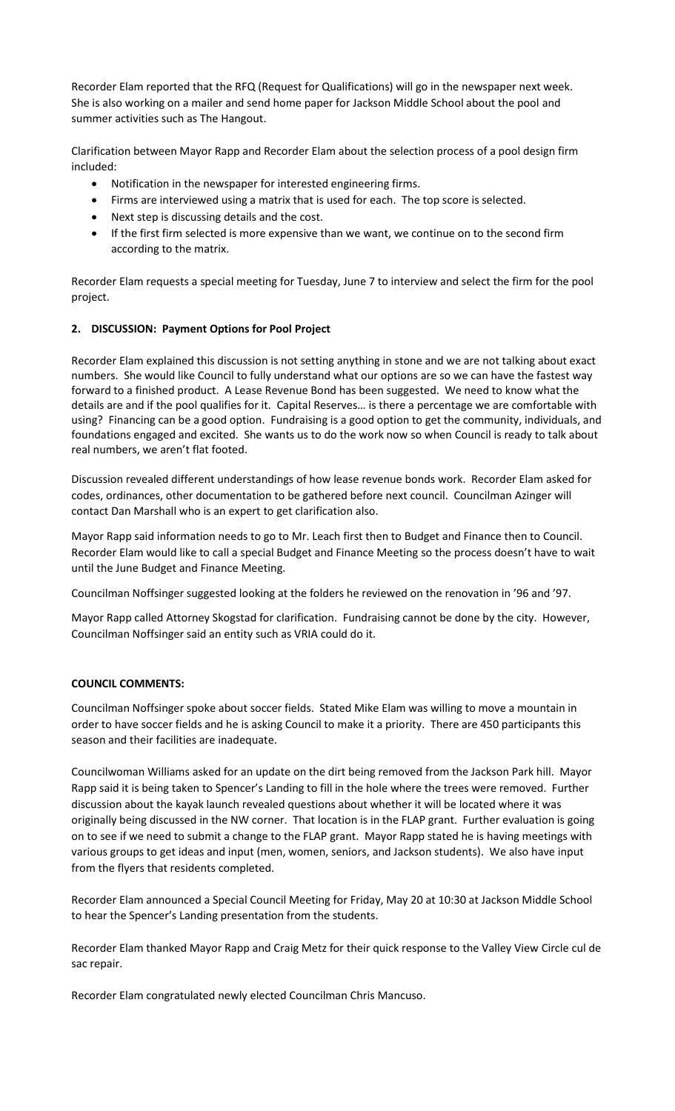Recorder Elam reported that the RFQ (Request for Qualifications) will go in the newspaper next week. She is also working on a mailer and send home paper for Jackson Middle School about the pool and summer activities such as The Hangout.

Clarification between Mayor Rapp and Recorder Elam about the selection process of a pool design firm included:

- Notification in the newspaper for interested engineering firms.
- Firms are interviewed using a matrix that is used for each. The top score is selected.
- Next step is discussing details and the cost.
- If the first firm selected is more expensive than we want, we continue on to the second firm according to the matrix.

Recorder Elam requests a special meeting for Tuesday, June 7 to interview and select the firm for the pool project.

## **2. DISCUSSION: Payment Options for Pool Project**

Recorder Elam explained this discussion is not setting anything in stone and we are not talking about exact numbers. She would like Council to fully understand what our options are so we can have the fastest way forward to a finished product. A Lease Revenue Bond has been suggested. We need to know what the details are and if the pool qualifies for it. Capital Reserves… is there a percentage we are comfortable with using? Financing can be a good option. Fundraising is a good option to get the community, individuals, and foundations engaged and excited. She wants us to do the work now so when Council is ready to talk about real numbers, we aren't flat footed.

Discussion revealed different understandings of how lease revenue bonds work. Recorder Elam asked for codes, ordinances, other documentation to be gathered before next council. Councilman Azinger will contact Dan Marshall who is an expert to get clarification also.

Mayor Rapp said information needs to go to Mr. Leach first then to Budget and Finance then to Council. Recorder Elam would like to call a special Budget and Finance Meeting so the process doesn't have to wait until the June Budget and Finance Meeting.

Councilman Noffsinger suggested looking at the folders he reviewed on the renovation in '96 and '97.

Mayor Rapp called Attorney Skogstad for clarification. Fundraising cannot be done by the city. However, Councilman Noffsinger said an entity such as VRIA could do it.

## **COUNCIL COMMENTS:**

Councilman Noffsinger spoke about soccer fields. Stated Mike Elam was willing to move a mountain in order to have soccer fields and he is asking Council to make it a priority. There are 450 participants this season and their facilities are inadequate.

Councilwoman Williams asked for an update on the dirt being removed from the Jackson Park hill. Mayor Rapp said it is being taken to Spencer's Landing to fill in the hole where the trees were removed. Further discussion about the kayak launch revealed questions about whether it will be located where it was originally being discussed in the NW corner. That location is in the FLAP grant. Further evaluation is going on to see if we need to submit a change to the FLAP grant. Mayor Rapp stated he is having meetings with various groups to get ideas and input (men, women, seniors, and Jackson students). We also have input from the flyers that residents completed.

Recorder Elam announced a Special Council Meeting for Friday, May 20 at 10:30 at Jackson Middle School to hear the Spencer's Landing presentation from the students.

Recorder Elam thanked Mayor Rapp and Craig Metz for their quick response to the Valley View Circle cul de sac repair.

Recorder Elam congratulated newly elected Councilman Chris Mancuso.